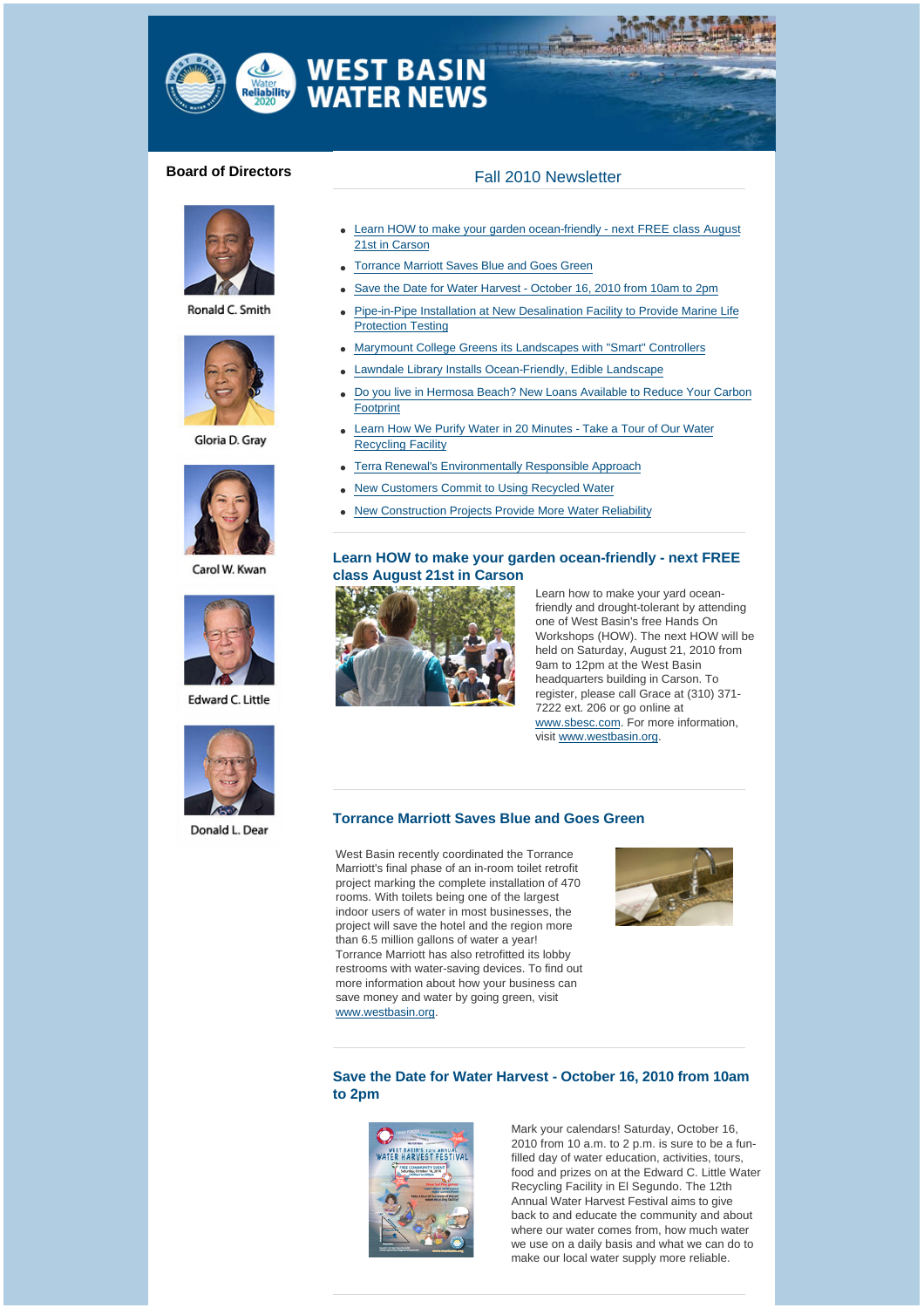

# **WEST BASIN<br>WATER NEWS**

## **Board of Directors** Fall 2010 Newsletter



Ronald C. Smith



Gloria D. Grav



Carol W. Kwan



Edward C. Little



Donald L. Dear

- Learn HOW to make your garden ocean-friendly next FREE class August 21st in Carson
- **Torrance Marriott Saves Blue and Goes Green**
- Save the Date for Water Harvest October 16, 2010 from 10am to 2pm
- Pipe-in-Pipe Installation at New Desalination Facility to Provide Marine Life Protection Testing
- <sup>l</sup> Marymount College Greens its Landscapes with "Smart" Controllers
- Lawndale Library Installs Ocean-Friendly, Edible Landscape
- Do you live in Hermosa Beach? New Loans Available to Reduce Your Carbon Footprint
- Learn How We Purify Water in 20 Minutes Take a Tour of Our Water Recycling Facility
- Terra Renewal's Environmentally Responsible Approach
- <sup>l</sup> New Customers Commit to Using Recycled Water
- **New Construction Projects Provide More Water Reliability**

#### **[Learn HOW to make your garden ocean-friendly - next FREE](http://westbasinmunicipalwaterdistrict.cmail1.com/t/r/l/ctdkdl/l/r)  class August 21st in Carson**



Learn how to make your yard oceanfriendly and drought-tolerant by attending one of West Basin's free Hands On Workshops (HOW). The next HOW will be held on Saturday, August 21, 2010 from 9am to 12pm at the West Basin headquarters building in Carson. To register, please call Grace at (310) 371- 7222 ext. 206 or go online at [www.sbesc.com.](http://westbasinmunicipalwaterdistrict.cmail1.com/t/r/l/ctdkdl/l/j) For more information, visit [www.westbasin.org.](http://westbasinmunicipalwaterdistrict.cmail1.com/t/r/l/ctdkdl/l/t)

#### **[Torrance Marriott Saves Blue and Goes Green](http://westbasinmunicipalwaterdistrict.cmail1.com/t/r/l/ctdkdl/l/i)**

West Basin recently coordinated the Torrance Marriott's final phase of an in-room toilet retrofit project marking the complete installation of 470 rooms. With toilets being one of the largest indoor users of water in most businesses, the project will save the hotel and the region more than 6.5 million gallons of water a year! Torrance Marriott has also retrofitted its lobby restrooms with water-saving devices. To find out more information about how your business can save money and water by going green, visit [www.westbasin.org](http://westbasinmunicipalwaterdistrict.cmail1.com/t/r/l/ctdkdl/l/d).



### **[Save the Date for Water Harvest - October 16, 2010 from 10am](http://westbasinmunicipalwaterdistrict.cmail1.com/t/r/l/ctdkdl/l/h)  to 2pm**



Mark your calendars! Saturday, October 16, 2010 from 10 a.m. to 2 p.m. is sure to be a funfilled day of water education, activities, tours, food and prizes on at the Edward C. Little Water Recycling Facility in El Segundo. The 12th Annual Water Harvest Festival aims to give back to and educate the community and about where our water comes from, how much water we use on a daily basis and what we can do to make our local water supply more reliable.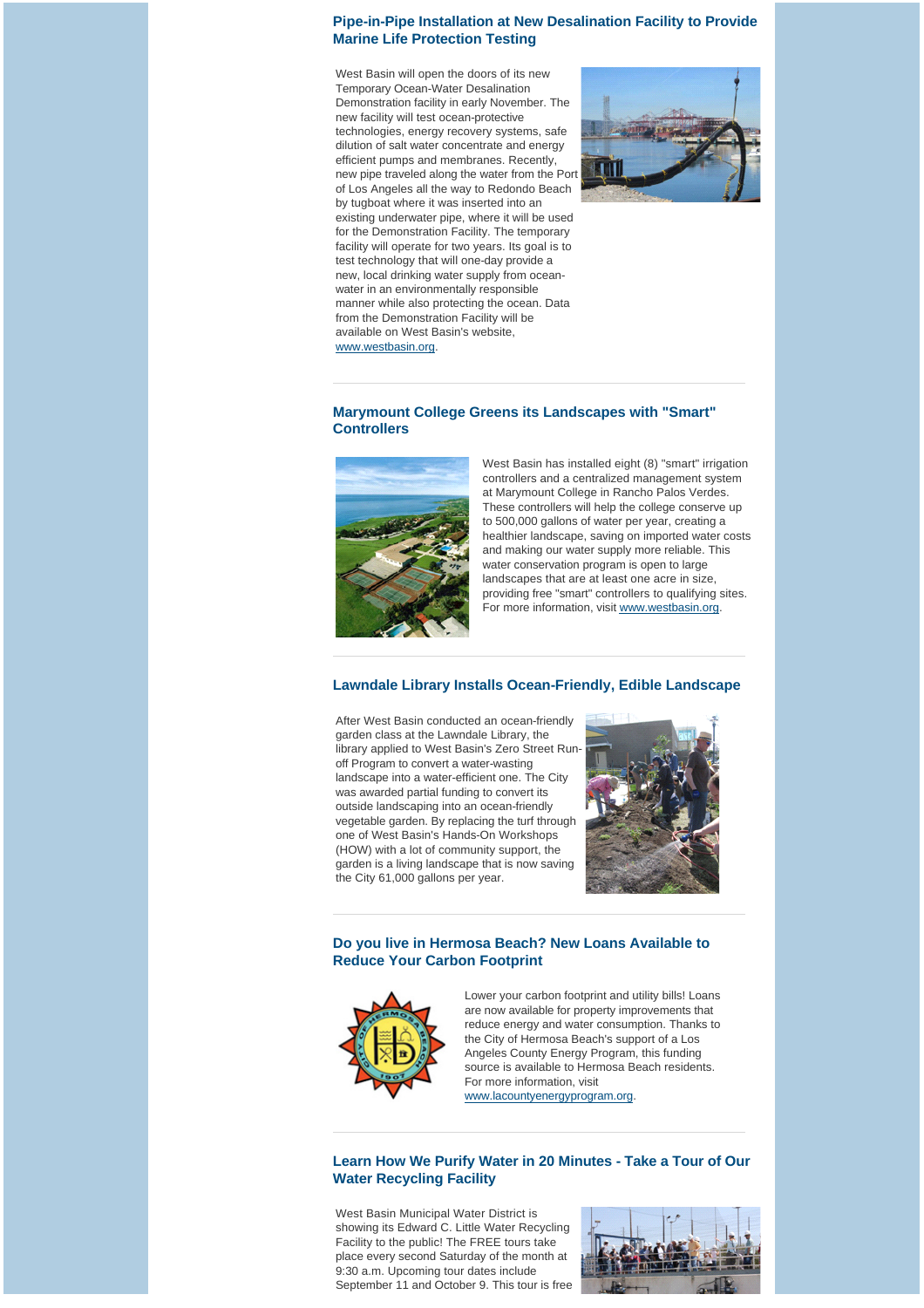#### **[Pipe-in-Pipe Installation at New Desalination Facility to Provide](http://westbasinmunicipalwaterdistrict.cmail1.com/t/r/l/ctdkdl/l/k)  Marine Life Protection Testing**

West Basin will open the doors of its new Temporary Ocean-Water Desalination Demonstration facility in early November. The new facility will test ocean-protective technologies, energy recovery systems, safe dilution of salt water concentrate and energy efficient pumps and membranes. Recently, new pipe traveled along the water from the Port of Los Angeles all the way to Redondo Beach by tugboat where it was inserted into an existing underwater pipe, where it will be used for the Demonstration Facility. The temporary facility will operate for two years. Its goal is to test technology that will one-day provide a new, local drinking water supply from oceanwater in an environmentally responsible manner while also protecting the ocean. Data from the Demonstration Facility will be available on West Basin's website, [www.westbasin.org](http://westbasinmunicipalwaterdistrict.cmail1.com/t/r/l/ctdkdl/l/u).



#### **[Marymount College Greens its Landscapes with "Smart"](http://westbasinmunicipalwaterdistrict.cmail1.com/t/r/l/ctdkdl/l/o)  Controllers**



West Basin has installed eight (8) "smart" irrigation controllers and a centralized management system at Marymount College in Rancho Palos Verdes. These controllers will help the college conserve up to 500,000 gallons of water per year, creating a healthier landscape, saving on imported water costs and making our water supply more reliable. This water conservation program is open to large landscapes that are at least one acre in size, providing free "smart" controllers to qualifying sites. For more information, visit [www.westbasin.org](http://westbasinmunicipalwaterdistrict.cmail1.com/t/r/l/ctdkdl/l/b).

#### **[Lawndale Library Installs Ocean-Friendly, Edible Landscape](http://westbasinmunicipalwaterdistrict.cmail1.com/t/r/l/ctdkdl/l/n)**

After West Basin conducted an ocean-friendly garden class at the Lawndale Library, the library applied to West Basin's Zero Street Runoff Program to convert a water-wasting landscape into a water-efficient one. The City was awarded partial funding to convert its outside landscaping into an ocean-friendly vegetable garden. By replacing the turf through one of West Basin's Hands-On Workshops (HOW) with a lot of community support, the garden is a living landscape that is now saving the City 61,000 gallons per year.



#### **[Do you live in Hermosa Beach? New Loans Available to](http://westbasinmunicipalwaterdistrict.cmail1.com/t/r/l/ctdkdl/l/p)  Reduce Your Carbon Footprint**



Lower your carbon footprint and utility bills! Loans are now available for property improvements that reduce energy and water consumption. Thanks to the City of Hermosa Beach's support of a Los Angeles County Energy Program, this funding source is available to Hermosa Beach residents. For more information, visit

[www.lacountyenergyprogram.org.](http://westbasinmunicipalwaterdistrict.cmail1.com/t/r/l/ctdkdl/l/x)

### **[Learn How We Purify Water in 20 Minutes - Take a Tour of Our](http://westbasinmunicipalwaterdistrict.cmail1.com/t/r/l/ctdkdl/l/m)  Water Recycling Facility**

West Basin Municipal Water District is showing its Edward C. Little Water Recycling Facility to the public! The FREE tours take place every second Saturday of the month at 9:30 a.m. Upcoming tour dates include September 11 and October 9. This tour is free